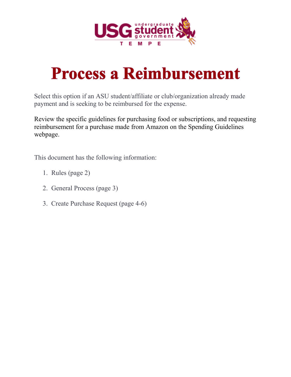

# **Process a Reimbursement**

Select this option if an ASU student/affiliate or club/organization already made payment and is seeking to be reimbursed for the expense.

Review the specific guidelines for purchasing food or subscriptions, and requesting reimbursement for a purchase made from Amazon on the Spending Guidelines webpage.

This document has the following information:

- 1. Rules (page 2)
- 2. General Process (page 3)
- 3. Create Purchase Request (page 4-6)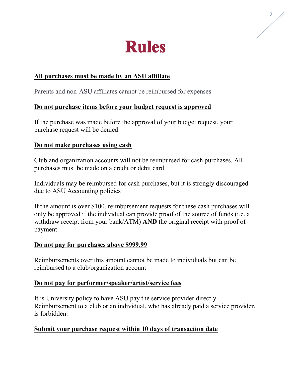

## **All purchases must be made by an ASU affiliate**

Parents and non-ASU affiliates cannot be reimbursed for expenses

#### **Do not purchase items before your budget request is approved**

If the purchase was made before the approval of your budget request, your purchase request will be denied

#### **Do not make purchases using cash**

Club and organization accounts will not be reimbursed for cash purchases. All purchases must be made on a credit or debit card

Individuals may be reimbursed for cash purchases, but it is strongly discouraged due to ASU Accounting policies

If the amount is over \$100, reimbursement requests for these cash purchases will only be approved if the individual can provide proof of the source of funds (i.e. a withdraw receipt from your bank/ATM) **AND** the original receipt with proof of payment

#### **Do not pay for purchases above \$999.99**

Reimbursements over this amount cannot be made to individuals but can be reimbursed to a club/organization account

#### **Do not pay for performer/speaker/artist/service fees**

It is University policy to have ASU pay the service provider directly. Reimbursement to a club or an individual, who has already paid a service provider, is forbidden.

#### **Submit your purchase request within 10 days of transaction date**

2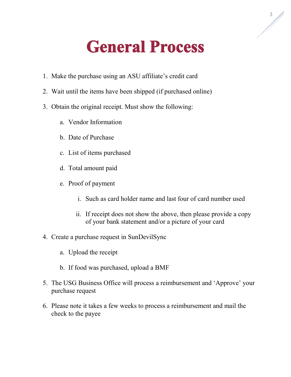# **General Process**

- 1. Make the purchase using an ASU affiliate's credit card
- 2. Wait until the items have been shipped (if purchased online)
- 3. Obtain the original receipt. Must show the following:
	- a. Vendor Information
	- b. Date of Purchase
	- c. List of items purchased
	- d. Total amount paid
	- e. Proof of payment
		- i. Such as card holder name and last four of card number used
		- ii. If receipt does not show the above, then please provide a copy of your bank statement and/or a picture of your card
- 4. Create a purchase request in SunDevilSync
	- a. Upload the receipt
	- b. If food was purchased, upload a BMF
- 5. The USG Business Office will process a reimbursement and 'Approve' your purchase request
- 6. Please note it takes a few weeks to process a reimbursement and mail the check to the payee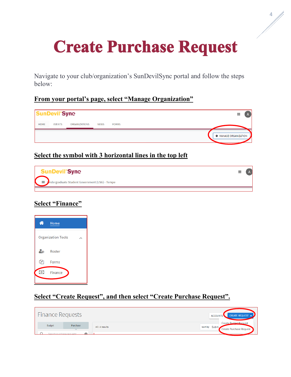# **Create Purchase Request**

Navigate to your club/organization's SunDevilSync portal and follow the steps below:

# **From your portal's page, select "Manage Organization"**



# **Select the symbol with 3 horizontal lines in the top left**



# **Select "Finance"**



# **Select "Create Request", and then select "Create Purchase Request".**

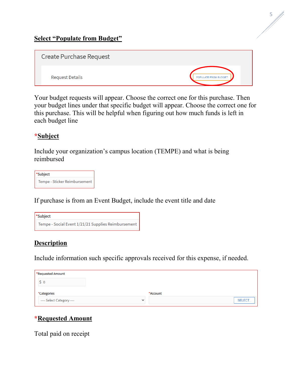| Create Purchase Request |                      |
|-------------------------|----------------------|
| <b>Request Details</b>  | POPULATE FROM BUDGET |

Your budget requests will appear. Choose the correct one for this purchase. Then your budget lines under that specific budget will appear. Choose the correct one for this purchase. This will be helpful when figuring out how much funds is left in each budget line

# **\*Subject**

Include your organization's campus location (TEMPE) and what is being reimbursed

| *Subject                      |
|-------------------------------|
| Tempe - Sticker Reimbursement |

If purchase is from an Event Budget, include the event title and date

| *Subject                                            |  |
|-----------------------------------------------------|--|
| Tempe - Social Event 1/21/21 Supplies Reimbursement |  |

# **Description**

Include information such specific approvals received for this expense, if needed.

| *Requested Amount                         |          |
|-------------------------------------------|----------|
|                                           |          |
| *Categories                               | *Account |
| ---- Select Category ----<br>$\checkmark$ | SELECT   |

# **\*Requested Amount**

Total paid on receipt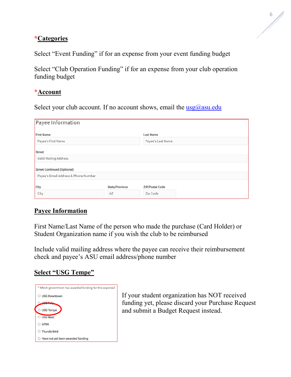#### **\*Categories**

Select "Event Funding" if for an expense from your event funding budget

Select "Club Operation Funding" if for an expense from your club operation funding budget

#### **\*Account**

Select your club account. If no account shows, email the  $\text{usg}(a)$  asu.edu

| Payee Information                    |                             |                                    |
|--------------------------------------|-----------------------------|------------------------------------|
| <b>First Name</b>                    |                             | <b>Last Name</b>                   |
| Payee's First Name                   |                             | Payee's Last Name                  |
| <b>Street</b>                        |                             |                                    |
| <b>Valid Mailing Address</b>         |                             |                                    |
| <b>Street Continued (Optional)</b>   |                             |                                    |
| Payee's Email Address & Phone Number |                             |                                    |
| <b>City</b><br>City                  | <b>State/Province</b><br>AZ | <b>ZIP/Postal Code</b><br>Zip Code |

# **Payee Information**

First Name/Last Name of the person who made the purchase (Card Holder) or Student Organization name if you wish the club to be reimbursed

Include valid mailing address where the payee can receive their reimbursement check and payee's ASU email address/phone number

#### **Select "USG Tempe"**

| * Which government has awarded funding for this expense? |
|----------------------------------------------------------|
| <b>USG Downtown</b>                                      |
|                                                          |
| O USG Tempe                                              |
| $\supset$ USG West                                       |
| <b>GPSA</b>                                              |
| Thunderbird                                              |
| Have not yet been awarded funding                        |

If your student organization has NOT received funding yet, please discard your Purchase Request and submit a Budget Request instead.

6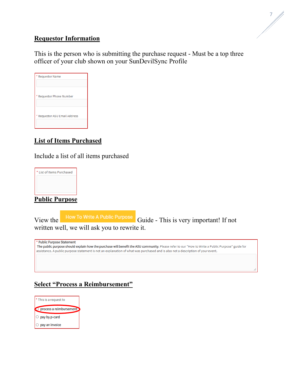## **Requestor Information**

This is the person who is submitting the purchase request - Must be a top three officer of your club shown on your SunDevilSync Profile

| * Requestor Name              |
|-------------------------------|
|                               |
| * Requestor Phone Number      |
|                               |
| * Requestor ASU Email Address |
|                               |
|                               |

# **List of Items Purchased**

Include a list of all items purchased



**Public Purpose**

View the How To Write A Public Purpose Guide - This is very important! If not written well, we will ask you to rewrite it.

| * Public Purpose Statement<br>The public purpose should explain how the purchase will benefit the ASU community. Please refer to our "How to Write a Public Purpose" guide for<br>assistance. A public purpose statement is not an explanation of what was purchased and is also not a description of your event. |  |
|-------------------------------------------------------------------------------------------------------------------------------------------------------------------------------------------------------------------------------------------------------------------------------------------------------------------|--|
|                                                                                                                                                                                                                                                                                                                   |  |

## **Select "Process a Reimbursement"**

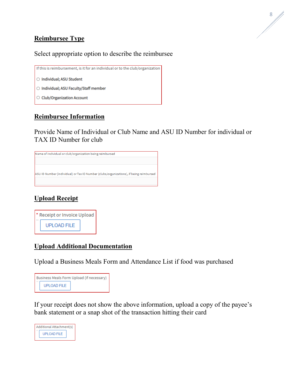# **Reimbursee Type**

#### Select appropriate option to describe the reimbursee

If this is reimbursement, is it for an individual or to the club/organization O Individual; ASU Student ○ Individual; ASU Faculty/Staff member ○ Club/Organization Account

#### **Reimbursee Information**

Provide Name of Individual or Club Name and ASU ID Number for individual or TAX ID Number for club

Name of individual or club/organization being reimbursed ASU ID Number (individual) or Tax ID Number (clubs/organizations), if being reimbursed

# **Upload Receipt**



#### **Upload Additional Documentation**

Upload a Business Meals Form and Attendance List if food was purchased

| Business Meals Form Upload (if necessary) |  |
|-------------------------------------------|--|
| <b>UPLOAD FILE</b>                        |  |

If your receipt does not show the above information, upload a copy of the payee's bank statement or a snap shot of the transaction hitting their card